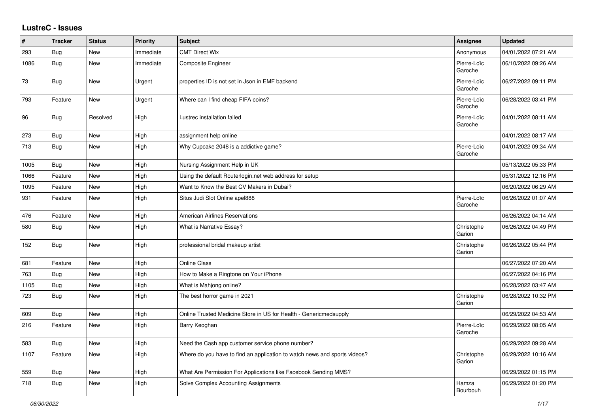## **LustreC - Issues**

| #    | <b>Tracker</b> | <b>Status</b> | <b>Priority</b> | <b>Subject</b>                                                            | <b>Assignee</b>        | <b>Updated</b>      |
|------|----------------|---------------|-----------------|---------------------------------------------------------------------------|------------------------|---------------------|
| 293  | Bug            | <b>New</b>    | Immediate       | <b>CMT Direct Wix</b>                                                     | Anonymous              | 04/01/2022 07:21 AM |
| 1086 | <b>Bug</b>     | New           | Immediate       | Composite Engineer                                                        | Pierre-Loïc<br>Garoche | 06/10/2022 09:26 AM |
| 73   | Bug            | New           | Urgent          | properties ID is not set in Json in EMF backend                           | Pierre-Loïc<br>Garoche | 06/27/2022 09:11 PM |
| 793  | Feature        | New           | Urgent          | Where can I find cheap FIFA coins?                                        | Pierre-Loïc<br>Garoche | 06/28/2022 03:41 PM |
| 96   | <b>Bug</b>     | Resolved      | High            | Lustrec installation failed                                               | Pierre-Loïc<br>Garoche | 04/01/2022 08:11 AM |
| 273  | <b>Bug</b>     | <b>New</b>    | High            | assignment help online                                                    |                        | 04/01/2022 08:17 AM |
| 713  | <b>Bug</b>     | <b>New</b>    | High            | Why Cupcake 2048 is a addictive game?                                     | Pierre-Loïc<br>Garoche | 04/01/2022 09:34 AM |
| 1005 | Bug            | <b>New</b>    | High            | Nursing Assignment Help in UK                                             |                        | 05/13/2022 05:33 PM |
| 1066 | Feature        | New           | High            | Using the default Routerlogin.net web address for setup                   |                        | 05/31/2022 12:16 PM |
| 1095 | Feature        | New           | High            | Want to Know the Best CV Makers in Dubai?                                 |                        | 06/20/2022 06:29 AM |
| 931  | Feature        | New           | High            | Situs Judi Slot Online apel888                                            | Pierre-Loïc<br>Garoche | 06/26/2022 01:07 AM |
| 476  | Feature        | <b>New</b>    | High            | <b>American Airlines Reservations</b>                                     |                        | 06/26/2022 04:14 AM |
| 580  | <b>Bug</b>     | New           | High            | What is Narrative Essay?                                                  | Christophe<br>Garion   | 06/26/2022 04:49 PM |
| 152  | <b>Bug</b>     | New           | High            | professional bridal makeup artist                                         | Christophe<br>Garion   | 06/26/2022 05:44 PM |
| 681  | Feature        | New           | High            | <b>Online Class</b>                                                       |                        | 06/27/2022 07:20 AM |
| 763  | Bug            | <b>New</b>    | High            | How to Make a Ringtone on Your iPhone                                     |                        | 06/27/2022 04:16 PM |
| 1105 | <b>Bug</b>     | New           | High            | What is Mahjong online?                                                   |                        | 06/28/2022 03:47 AM |
| 723  | <b>Bug</b>     | New           | High            | The best horror game in 2021                                              | Christophe<br>Garion   | 06/28/2022 10:32 PM |
| 609  | Bug            | New           | High            | Online Trusted Medicine Store in US for Health - Genericmedsupply         |                        | 06/29/2022 04:53 AM |
| 216  | Feature        | <b>New</b>    | High            | Barry Keoghan                                                             | Pierre-Loïc<br>Garoche | 06/29/2022 08:05 AM |
| 583  | Bug            | <b>New</b>    | High            | Need the Cash app customer service phone number?                          |                        | 06/29/2022 09:28 AM |
| 1107 | Feature        | <b>New</b>    | High            | Where do you have to find an application to watch news and sports videos? | Christophe<br>Garion   | 06/29/2022 10:16 AM |
| 559  | Bug            | <b>New</b>    | High            | What Are Permission For Applications like Facebook Sending MMS?           |                        | 06/29/2022 01:15 PM |
| 718  | Bug            | New           | High            | Solve Complex Accounting Assignments                                      | Hamza<br>Bourbouh      | 06/29/2022 01:20 PM |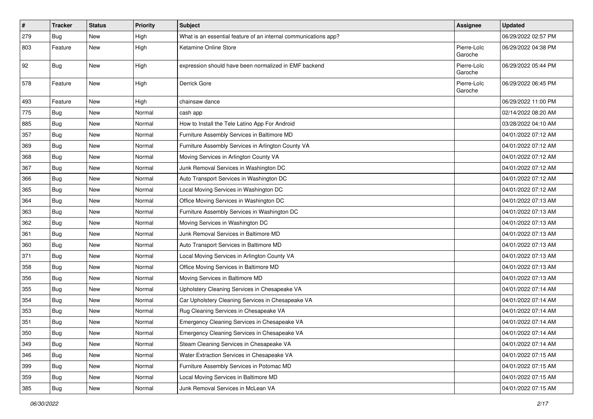| $\vert$ # | <b>Tracker</b> | <b>Status</b> | <b>Priority</b> | <b>Subject</b>                                                  | <b>Assignee</b>        | <b>Updated</b>      |
|-----------|----------------|---------------|-----------------|-----------------------------------------------------------------|------------------------|---------------------|
| 279       | Bug            | New           | High            | What is an essential feature of an internal communications app? |                        | 06/29/2022 02:57 PM |
| 803       | Feature        | New           | High            | Ketamine Online Store                                           | Pierre-Loïc<br>Garoche | 06/29/2022 04:38 PM |
| 92        | Bug            | <b>New</b>    | High            | expression should have been normalized in EMF backend           | Pierre-Loïc<br>Garoche | 06/29/2022 05:44 PM |
| 578       | Feature        | New           | High            | Derrick Gore                                                    | Pierre-Loïc<br>Garoche | 06/29/2022 06:45 PM |
| 493       | Feature        | <b>New</b>    | High            | chainsaw dance                                                  |                        | 06/29/2022 11:00 PM |
| 775       | Bug            | New           | Normal          | cash app                                                        |                        | 02/14/2022 08:20 AM |
| 885       | Bug            | New           | Normal          | How to Install the Tele Latino App For Android                  |                        | 03/28/2022 04:10 AM |
| 357       | Bug            | New           | Normal          | Furniture Assembly Services in Baltimore MD                     |                        | 04/01/2022 07:12 AM |
| 369       | Bug            | <b>New</b>    | Normal          | Furniture Assembly Services in Arlington County VA              |                        | 04/01/2022 07:12 AM |
| 368       | Bug            | <b>New</b>    | Normal          | Moving Services in Arlington County VA                          |                        | 04/01/2022 07:12 AM |
| 367       | Bug            | New           | Normal          | Junk Removal Services in Washington DC                          |                        | 04/01/2022 07:12 AM |
| 366       | Bug            | <b>New</b>    | Normal          | Auto Transport Services in Washington DC                        |                        | 04/01/2022 07:12 AM |
| 365       | Bug            | <b>New</b>    | Normal          | Local Moving Services in Washington DC                          |                        | 04/01/2022 07:12 AM |
| 364       | Bug            | New           | Normal          | Office Moving Services in Washington DC                         |                        | 04/01/2022 07:13 AM |
| 363       | Bug            | <b>New</b>    | Normal          | Furniture Assembly Services in Washington DC                    |                        | 04/01/2022 07:13 AM |
| 362       | Bug            | New           | Normal          | Moving Services in Washington DC                                |                        | 04/01/2022 07:13 AM |
| 361       | Bug            | <b>New</b>    | Normal          | Junk Removal Services in Baltimore MD                           |                        | 04/01/2022 07:13 AM |
| 360       | Bug            | <b>New</b>    | Normal          | Auto Transport Services in Baltimore MD                         |                        | 04/01/2022 07:13 AM |
| 371       | Bug            | <b>New</b>    | Normal          | Local Moving Services in Arlington County VA                    |                        | 04/01/2022 07:13 AM |
| 358       | Bug            | <b>New</b>    | Normal          | Office Moving Services in Baltimore MD                          |                        | 04/01/2022 07:13 AM |
| 356       | Bug            | New           | Normal          | Moving Services in Baltimore MD                                 |                        | 04/01/2022 07:13 AM |
| 355       | Bug            | <b>New</b>    | Normal          | Upholstery Cleaning Services in Chesapeake VA                   |                        | 04/01/2022 07:14 AM |
| 354       | Bug            | <b>New</b>    | Normal          | Car Upholstery Cleaning Services in Chesapeake VA               |                        | 04/01/2022 07:14 AM |
| 353       | <b>Bug</b>     | New           | Normal          | Rug Cleaning Services in Chesapeake VA                          |                        | 04/01/2022 07:14 AM |
| 351       | Bug            | <b>New</b>    | Normal          | Emergency Cleaning Services in Chesapeake VA                    |                        | 04/01/2022 07:14 AM |
| 350       | Bug            | New           | Normal          | Emergency Cleaning Services in Chesapeake VA                    |                        | 04/01/2022 07:14 AM |
| 349       | Bug            | New           | Normal          | Steam Cleaning Services in Chesapeake VA                        |                        | 04/01/2022 07:14 AM |
| 346       | Bug            | New           | Normal          | Water Extraction Services in Chesapeake VA                      |                        | 04/01/2022 07:15 AM |
| 399       | Bug            | New           | Normal          | Furniture Assembly Services in Potomac MD                       |                        | 04/01/2022 07:15 AM |
| 359       | Bug            | New           | Normal          | Local Moving Services in Baltimore MD                           |                        | 04/01/2022 07:15 AM |
| 385       | <b>Bug</b>     | New           | Normal          | Junk Removal Services in McLean VA                              |                        | 04/01/2022 07:15 AM |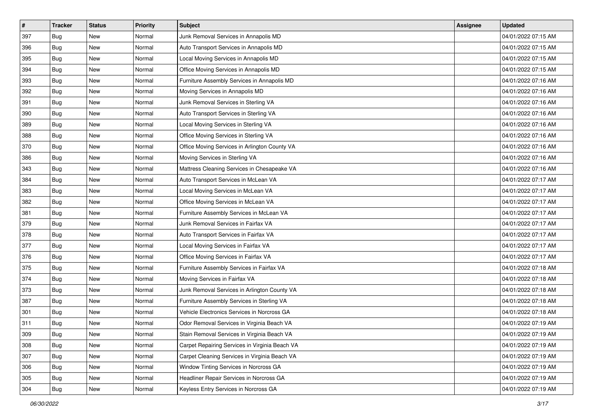| $\sharp$ | <b>Tracker</b> | <b>Status</b> | <b>Priority</b> | <b>Subject</b>                                 | <b>Assignee</b> | <b>Updated</b>      |
|----------|----------------|---------------|-----------------|------------------------------------------------|-----------------|---------------------|
| 397      | Bug            | New           | Normal          | Junk Removal Services in Annapolis MD          |                 | 04/01/2022 07:15 AM |
| 396      | <b>Bug</b>     | <b>New</b>    | Normal          | Auto Transport Services in Annapolis MD        |                 | 04/01/2022 07:15 AM |
| 395      | <b>Bug</b>     | New           | Normal          | Local Moving Services in Annapolis MD          |                 | 04/01/2022 07:15 AM |
| 394      | Bug            | <b>New</b>    | Normal          | Office Moving Services in Annapolis MD         |                 | 04/01/2022 07:15 AM |
| 393      | <b>Bug</b>     | <b>New</b>    | Normal          | Furniture Assembly Services in Annapolis MD    |                 | 04/01/2022 07:16 AM |
| 392      | <b>Bug</b>     | <b>New</b>    | Normal          | Moving Services in Annapolis MD                |                 | 04/01/2022 07:16 AM |
| 391      | <b>Bug</b>     | New           | Normal          | Junk Removal Services in Sterling VA           |                 | 04/01/2022 07:16 AM |
| 390      | <b>Bug</b>     | New           | Normal          | Auto Transport Services in Sterling VA         |                 | 04/01/2022 07:16 AM |
| 389      | Bug            | New           | Normal          | Local Moving Services in Sterling VA           |                 | 04/01/2022 07:16 AM |
| 388      | Bug            | <b>New</b>    | Normal          | Office Moving Services in Sterling VA          |                 | 04/01/2022 07:16 AM |
| 370      | Bug            | <b>New</b>    | Normal          | Office Moving Services in Arlington County VA  |                 | 04/01/2022 07:16 AM |
| 386      | Bug            | New           | Normal          | Moving Services in Sterling VA                 |                 | 04/01/2022 07:16 AM |
| 343      | <b>Bug</b>     | <b>New</b>    | Normal          | Mattress Cleaning Services in Chesapeake VA    |                 | 04/01/2022 07:16 AM |
| 384      | <b>Bug</b>     | New           | Normal          | Auto Transport Services in McLean VA           |                 | 04/01/2022 07:17 AM |
| 383      | <b>Bug</b>     | <b>New</b>    | Normal          | Local Moving Services in McLean VA             |                 | 04/01/2022 07:17 AM |
| 382      | <b>Bug</b>     | New           | Normal          | Office Moving Services in McLean VA            |                 | 04/01/2022 07:17 AM |
| 381      | Bug            | <b>New</b>    | Normal          | Furniture Assembly Services in McLean VA       |                 | 04/01/2022 07:17 AM |
| 379      | <b>Bug</b>     | <b>New</b>    | Normal          | Junk Removal Services in Fairfax VA            |                 | 04/01/2022 07:17 AM |
| 378      | Bug            | New           | Normal          | Auto Transport Services in Fairfax VA          |                 | 04/01/2022 07:17 AM |
| 377      | <b>Bug</b>     | <b>New</b>    | Normal          | Local Moving Services in Fairfax VA            |                 | 04/01/2022 07:17 AM |
| 376      | Bug            | New           | Normal          | Office Moving Services in Fairfax VA           |                 | 04/01/2022 07:17 AM |
| 375      | Bug            | <b>New</b>    | Normal          | Furniture Assembly Services in Fairfax VA      |                 | 04/01/2022 07:18 AM |
| 374      | <b>Bug</b>     | <b>New</b>    | Normal          | Moving Services in Fairfax VA                  |                 | 04/01/2022 07:18 AM |
| 373      | Bug            | New           | Normal          | Junk Removal Services in Arlington County VA   |                 | 04/01/2022 07:18 AM |
| 387      | Bug            | New           | Normal          | Furniture Assembly Services in Sterling VA     |                 | 04/01/2022 07:18 AM |
| 301      | Bug            | <b>New</b>    | Normal          | Vehicle Electronics Services in Norcross GA    |                 | 04/01/2022 07:18 AM |
| 311      | Bug            | New           | Normal          | Odor Removal Services in Virginia Beach VA     |                 | 04/01/2022 07:19 AM |
| 309      | Bug            | New           | Normal          | Stain Removal Services in Virginia Beach VA    |                 | 04/01/2022 07:19 AM |
| 308      | Bug            | New           | Normal          | Carpet Repairing Services in Virginia Beach VA |                 | 04/01/2022 07:19 AM |
| 307      | Bug            | New           | Normal          | Carpet Cleaning Services in Virginia Beach VA  |                 | 04/01/2022 07:19 AM |
| 306      | Bug            | New           | Normal          | Window Tinting Services in Norcross GA         |                 | 04/01/2022 07:19 AM |
| 305      | Bug            | New           | Normal          | Headliner Repair Services in Norcross GA       |                 | 04/01/2022 07:19 AM |
| 304      | Bug            | New           | Normal          | Keyless Entry Services in Norcross GA          |                 | 04/01/2022 07:19 AM |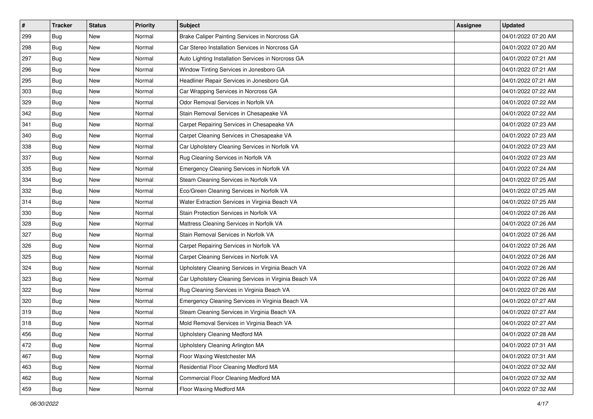| $\sharp$ | <b>Tracker</b> | <b>Status</b> | <b>Priority</b> | <b>Subject</b>                                        | <b>Assignee</b> | <b>Updated</b>      |
|----------|----------------|---------------|-----------------|-------------------------------------------------------|-----------------|---------------------|
| 299      | Bug            | New           | Normal          | Brake Caliper Painting Services in Norcross GA        |                 | 04/01/2022 07:20 AM |
| 298      | <b>Bug</b>     | <b>New</b>    | Normal          | Car Stereo Installation Services in Norcross GA       |                 | 04/01/2022 07:20 AM |
| 297      | <b>Bug</b>     | New           | Normal          | Auto Lighting Installation Services in Norcross GA    |                 | 04/01/2022 07:21 AM |
| 296      | Bug            | <b>New</b>    | Normal          | Window Tinting Services in Jonesboro GA               |                 | 04/01/2022 07:21 AM |
| 295      | <b>Bug</b>     | <b>New</b>    | Normal          | Headliner Repair Services in Jonesboro GA             |                 | 04/01/2022 07:21 AM |
| 303      | <b>Bug</b>     | <b>New</b>    | Normal          | Car Wrapping Services in Norcross GA                  |                 | 04/01/2022 07:22 AM |
| 329      | <b>Bug</b>     | New           | Normal          | Odor Removal Services in Norfolk VA                   |                 | 04/01/2022 07:22 AM |
| 342      | <b>Bug</b>     | New           | Normal          | Stain Removal Services in Chesapeake VA               |                 | 04/01/2022 07:22 AM |
| 341      | Bug            | New           | Normal          | Carpet Repairing Services in Chesapeake VA            |                 | 04/01/2022 07:23 AM |
| 340      | Bug            | <b>New</b>    | Normal          | Carpet Cleaning Services in Chesapeake VA             |                 | 04/01/2022 07:23 AM |
| 338      | Bug            | <b>New</b>    | Normal          | Car Upholstery Cleaning Services in Norfolk VA        |                 | 04/01/2022 07:23 AM |
| 337      | Bug            | New           | Normal          | Rug Cleaning Services in Norfolk VA                   |                 | 04/01/2022 07:23 AM |
| 335      | <b>Bug</b>     | <b>New</b>    | Normal          | Emergency Cleaning Services in Norfolk VA             |                 | 04/01/2022 07:24 AM |
| 334      | <b>Bug</b>     | New           | Normal          | Steam Cleaning Services in Norfolk VA                 |                 | 04/01/2022 07:25 AM |
| 332      | <b>Bug</b>     | <b>New</b>    | Normal          | Eco/Green Cleaning Services in Norfolk VA             |                 | 04/01/2022 07:25 AM |
| 314      | <b>Bug</b>     | New           | Normal          | Water Extraction Services in Virginia Beach VA        |                 | 04/01/2022 07:25 AM |
| 330      | Bug            | <b>New</b>    | Normal          | Stain Protection Services in Norfolk VA               |                 | 04/01/2022 07:26 AM |
| 328      | <b>Bug</b>     | <b>New</b>    | Normal          | Mattress Cleaning Services in Norfolk VA              |                 | 04/01/2022 07:26 AM |
| 327      | Bug            | New           | Normal          | Stain Removal Services in Norfolk VA                  |                 | 04/01/2022 07:26 AM |
| 326      | <b>Bug</b>     | <b>New</b>    | Normal          | Carpet Repairing Services in Norfolk VA               |                 | 04/01/2022 07:26 AM |
| 325      | Bug            | New           | Normal          | Carpet Cleaning Services in Norfolk VA                |                 | 04/01/2022 07:26 AM |
| 324      | Bug            | <b>New</b>    | Normal          | Upholstery Cleaning Services in Virginia Beach VA     |                 | 04/01/2022 07:26 AM |
| 323      | <b>Bug</b>     | <b>New</b>    | Normal          | Car Upholstery Cleaning Services in Virginia Beach VA |                 | 04/01/2022 07:26 AM |
| 322      | Bug            | New           | Normal          | Rug Cleaning Services in Virginia Beach VA            |                 | 04/01/2022 07:26 AM |
| 320      | Bug            | New           | Normal          | Emergency Cleaning Services in Virginia Beach VA      |                 | 04/01/2022 07:27 AM |
| 319      | Bug            | <b>New</b>    | Normal          | Steam Cleaning Services in Virginia Beach VA          |                 | 04/01/2022 07:27 AM |
| 318      | Bug            | New           | Normal          | Mold Removal Services in Virginia Beach VA            |                 | 04/01/2022 07:27 AM |
| 456      | <b>Bug</b>     | New           | Normal          | Upholstery Cleaning Medford MA                        |                 | 04/01/2022 07:28 AM |
| 472      | Bug            | New           | Normal          | Upholstery Cleaning Arlington MA                      |                 | 04/01/2022 07:31 AM |
| 467      | Bug            | New           | Normal          | Floor Waxing Westchester MA                           |                 | 04/01/2022 07:31 AM |
| 463      | <b>Bug</b>     | New           | Normal          | Residential Floor Cleaning Medford MA                 |                 | 04/01/2022 07:32 AM |
| 462      | Bug            | New           | Normal          | Commercial Floor Cleaning Medford MA                  |                 | 04/01/2022 07:32 AM |
| 459      | <b>Bug</b>     | New           | Normal          | Floor Waxing Medford MA                               |                 | 04/01/2022 07:32 AM |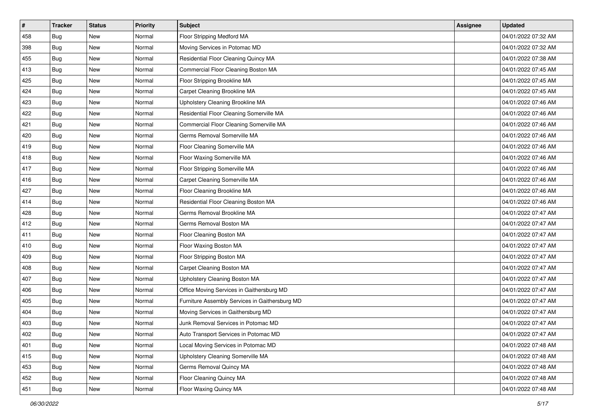| $\sharp$ | <b>Tracker</b> | <b>Status</b> | <b>Priority</b> | <b>Subject</b>                                 | <b>Assignee</b> | <b>Updated</b>      |
|----------|----------------|---------------|-----------------|------------------------------------------------|-----------------|---------------------|
| 458      | Bug            | New           | Normal          | Floor Stripping Medford MA                     |                 | 04/01/2022 07:32 AM |
| 398      | <b>Bug</b>     | <b>New</b>    | Normal          | Moving Services in Potomac MD                  |                 | 04/01/2022 07:32 AM |
| 455      | <b>Bug</b>     | New           | Normal          | Residential Floor Cleaning Quincy MA           |                 | 04/01/2022 07:38 AM |
| 413      | Bug            | <b>New</b>    | Normal          | Commercial Floor Cleaning Boston MA            |                 | 04/01/2022 07:45 AM |
| 425      | <b>Bug</b>     | <b>New</b>    | Normal          | Floor Stripping Brookline MA                   |                 | 04/01/2022 07:45 AM |
| 424      | <b>Bug</b>     | <b>New</b>    | Normal          | Carpet Cleaning Brookline MA                   |                 | 04/01/2022 07:45 AM |
| 423      | <b>Bug</b>     | New           | Normal          | Upholstery Cleaning Brookline MA               |                 | 04/01/2022 07:46 AM |
| 422      | <b>Bug</b>     | New           | Normal          | Residential Floor Cleaning Somerville MA       |                 | 04/01/2022 07:46 AM |
| 421      | <b>Bug</b>     | New           | Normal          | Commercial Floor Cleaning Somerville MA        |                 | 04/01/2022 07:46 AM |
| 420      | <b>Bug</b>     | <b>New</b>    | Normal          | Germs Removal Somerville MA                    |                 | 04/01/2022 07:46 AM |
| 419      | <b>Bug</b>     | <b>New</b>    | Normal          | Floor Cleaning Somerville MA                   |                 | 04/01/2022 07:46 AM |
| 418      | Bug            | New           | Normal          | Floor Waxing Somerville MA                     |                 | 04/01/2022 07:46 AM |
| 417      | <b>Bug</b>     | <b>New</b>    | Normal          | Floor Stripping Somerville MA                  |                 | 04/01/2022 07:46 AM |
| 416      | <b>Bug</b>     | New           | Normal          | Carpet Cleaning Somerville MA                  |                 | 04/01/2022 07:46 AM |
| 427      | <b>Bug</b>     | <b>New</b>    | Normal          | Floor Cleaning Brookline MA                    |                 | 04/01/2022 07:46 AM |
| 414      | <b>Bug</b>     | New           | Normal          | Residential Floor Cleaning Boston MA           |                 | 04/01/2022 07:46 AM |
| 428      | Bug            | <b>New</b>    | Normal          | Germs Removal Brookline MA                     |                 | 04/01/2022 07:47 AM |
| 412      | <b>Bug</b>     | <b>New</b>    | Normal          | Germs Removal Boston MA                        |                 | 04/01/2022 07:47 AM |
| 411      | Bug            | New           | Normal          | Floor Cleaning Boston MA                       |                 | 04/01/2022 07:47 AM |
| 410      | Bug            | <b>New</b>    | Normal          | Floor Waxing Boston MA                         |                 | 04/01/2022 07:47 AM |
| 409      | <b>Bug</b>     | New           | Normal          | Floor Stripping Boston MA                      |                 | 04/01/2022 07:47 AM |
| 408      | Bug            | <b>New</b>    | Normal          | Carpet Cleaning Boston MA                      |                 | 04/01/2022 07:47 AM |
| 407      | Bug            | <b>New</b>    | Normal          | Upholstery Cleaning Boston MA                  |                 | 04/01/2022 07:47 AM |
| 406      | <b>Bug</b>     | New           | Normal          | Office Moving Services in Gaithersburg MD      |                 | 04/01/2022 07:47 AM |
| 405      | Bug            | New           | Normal          | Furniture Assembly Services in Gaithersburg MD |                 | 04/01/2022 07:47 AM |
| 404      | Bug            | <b>New</b>    | Normal          | Moving Services in Gaithersburg MD             |                 | 04/01/2022 07:47 AM |
| 403      | <b>Bug</b>     | New           | Normal          | Junk Removal Services in Potomac MD            |                 | 04/01/2022 07:47 AM |
| 402      | Bug            | New           | Normal          | Auto Transport Services in Potomac MD          |                 | 04/01/2022 07:47 AM |
| 401      | Bug            | New           | Normal          | Local Moving Services in Potomac MD            |                 | 04/01/2022 07:48 AM |
| 415      | Bug            | New           | Normal          | Upholstery Cleaning Somerville MA              |                 | 04/01/2022 07:48 AM |
| 453      | Bug            | New           | Normal          | Germs Removal Quincy MA                        |                 | 04/01/2022 07:48 AM |
| 452      | Bug            | New           | Normal          | Floor Cleaning Quincy MA                       |                 | 04/01/2022 07:48 AM |
| 451      | Bug            | New           | Normal          | Floor Waxing Quincy MA                         |                 | 04/01/2022 07:48 AM |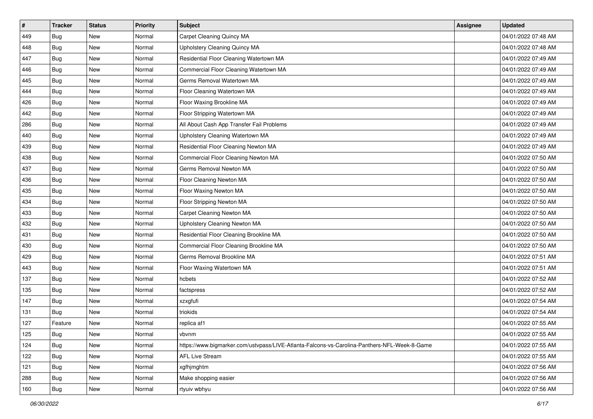| #   | <b>Tracker</b> | <b>Status</b> | Priority | <b>Subject</b>                                                                               | Assignee | <b>Updated</b>      |
|-----|----------------|---------------|----------|----------------------------------------------------------------------------------------------|----------|---------------------|
| 449 | Bug            | New           | Normal   | Carpet Cleaning Quincy MA                                                                    |          | 04/01/2022 07:48 AM |
| 448 | Bug            | <b>New</b>    | Normal   | Upholstery Cleaning Quincy MA                                                                |          | 04/01/2022 07:48 AM |
| 447 | Bug            | <b>New</b>    | Normal   | Residential Floor Cleaning Watertown MA                                                      |          | 04/01/2022 07:49 AM |
| 446 | Bug            | New           | Normal   | Commercial Floor Cleaning Watertown MA                                                       |          | 04/01/2022 07:49 AM |
| 445 | <b>Bug</b>     | <b>New</b>    | Normal   | Germs Removal Watertown MA                                                                   |          | 04/01/2022 07:49 AM |
| 444 | Bug            | New           | Normal   | Floor Cleaning Watertown MA                                                                  |          | 04/01/2022 07:49 AM |
| 426 | Bug            | New           | Normal   | Floor Waxing Brookline MA                                                                    |          | 04/01/2022 07:49 AM |
| 442 | <b>Bug</b>     | New           | Normal   | Floor Stripping Watertown MA                                                                 |          | 04/01/2022 07:49 AM |
| 286 | Bug            | <b>New</b>    | Normal   | All About Cash App Transfer Fail Problems                                                    |          | 04/01/2022 07:49 AM |
| 440 | Bug            | <b>New</b>    | Normal   | Upholstery Cleaning Watertown MA                                                             |          | 04/01/2022 07:49 AM |
| 439 | Bug            | New           | Normal   | Residential Floor Cleaning Newton MA                                                         |          | 04/01/2022 07:49 AM |
| 438 | Bug            | New           | Normal   | Commercial Floor Cleaning Newton MA                                                          |          | 04/01/2022 07:50 AM |
| 437 | Bug            | <b>New</b>    | Normal   | Germs Removal Newton MA                                                                      |          | 04/01/2022 07:50 AM |
| 436 | Bug            | <b>New</b>    | Normal   | Floor Cleaning Newton MA                                                                     |          | 04/01/2022 07:50 AM |
| 435 | Bug            | New           | Normal   | Floor Waxing Newton MA                                                                       |          | 04/01/2022 07:50 AM |
| 434 | Bug            | New           | Normal   | Floor Stripping Newton MA                                                                    |          | 04/01/2022 07:50 AM |
| 433 | Bug            | New           | Normal   | Carpet Cleaning Newton MA                                                                    |          | 04/01/2022 07:50 AM |
| 432 | Bug            | <b>New</b>    | Normal   | Upholstery Cleaning Newton MA                                                                |          | 04/01/2022 07:50 AM |
| 431 | Bug            | New           | Normal   | Residential Floor Cleaning Brookline MA                                                      |          | 04/01/2022 07:50 AM |
| 430 | Bug            | New           | Normal   | Commercial Floor Cleaning Brookline MA                                                       |          | 04/01/2022 07:50 AM |
| 429 | <b>Bug</b>     | New           | Normal   | Germs Removal Brookline MA                                                                   |          | 04/01/2022 07:51 AM |
| 443 | Bug            | New           | Normal   | Floor Waxing Watertown MA                                                                    |          | 04/01/2022 07:51 AM |
| 137 | Bug            | <b>New</b>    | Normal   | hcbets                                                                                       |          | 04/01/2022 07:52 AM |
| 135 | Bug            | New           | Normal   | factspress                                                                                   |          | 04/01/2022 07:52 AM |
| 147 | Bug            | New           | Normal   | xzxgfufi                                                                                     |          | 04/01/2022 07:54 AM |
| 131 | Bug            | <b>New</b>    | Normal   | triokids                                                                                     |          | 04/01/2022 07:54 AM |
| 127 | Feature        | New           | Normal   | replica af1                                                                                  |          | 04/01/2022 07:55 AM |
| 125 | Bug            | New           | Normal   | vbvnm                                                                                        |          | 04/01/2022 07:55 AM |
| 124 | <b>Bug</b>     | New           | Normal   | https://www.bigmarker.com/ustvpass/LIVE-Atlanta-Falcons-vs-Carolina-Panthers-NFL-Week-8-Game |          | 04/01/2022 07:55 AM |
| 122 | <b>Bug</b>     | New           | Normal   | <b>AFL Live Stream</b>                                                                       |          | 04/01/2022 07:55 AM |
| 121 | Bug            | New           | Normal   | xgfhjmghtm                                                                                   |          | 04/01/2022 07:56 AM |
| 288 | <b>Bug</b>     | New           | Normal   | Make shopping easier                                                                         |          | 04/01/2022 07:56 AM |
| 160 | <b>Bug</b>     | New           | Normal   | rtyuiv wbhyu                                                                                 |          | 04/01/2022 07:56 AM |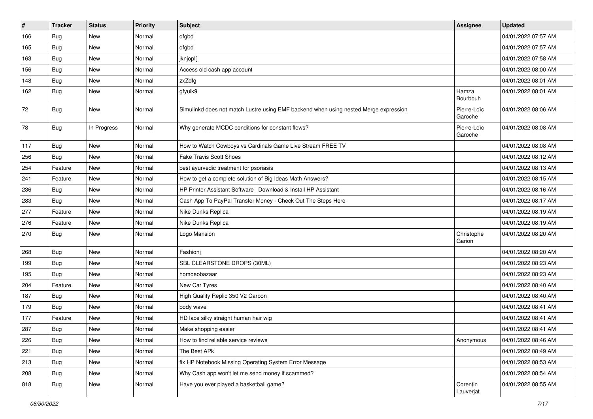| $\sharp$ | <b>Tracker</b> | <b>Status</b> | Priority | <b>Subject</b>                                                                       | Assignee               | <b>Updated</b>      |
|----------|----------------|---------------|----------|--------------------------------------------------------------------------------------|------------------------|---------------------|
| 166      | <b>Bug</b>     | New           | Normal   | dfgbd                                                                                |                        | 04/01/2022 07:57 AM |
| 165      | <b>Bug</b>     | New           | Normal   | dfgbd                                                                                |                        | 04/01/2022 07:57 AM |
| 163      | Bug            | New           | Normal   | jknjopl[                                                                             |                        | 04/01/2022 07:58 AM |
| 156      | <b>Bug</b>     | New           | Normal   | Access old cash app account                                                          |                        | 04/01/2022 08:00 AM |
| 148      | Bug            | New           | Normal   | zxZdfg                                                                               |                        | 04/01/2022 08:01 AM |
| 162      | Bug            | New           | Normal   | gfyuik9                                                                              | Hamza<br>Bourbouh      | 04/01/2022 08:01 AM |
| 72       | <b>Bug</b>     | New           | Normal   | Simulinkd does not match Lustre using EMF backend when using nested Merge expression | Pierre-Loïc<br>Garoche | 04/01/2022 08:06 AM |
| 78       | Bug            | In Progress   | Normal   | Why generate MCDC conditions for constant flows?                                     | Pierre-Loïc<br>Garoche | 04/01/2022 08:08 AM |
| 117      | Bug            | New           | Normal   | How to Watch Cowboys vs Cardinals Game Live Stream FREE TV                           |                        | 04/01/2022 08:08 AM |
| 256      | Bug            | New           | Normal   | <b>Fake Travis Scott Shoes</b>                                                       |                        | 04/01/2022 08:12 AM |
| 254      | Feature        | New           | Normal   | best ayurvedic treatment for psoriasis                                               |                        | 04/01/2022 08:13 AM |
| 241      | Feature        | New           | Normal   | How to get a complete solution of Big Ideas Math Answers?                            |                        | 04/01/2022 08:15 AM |
| 236      | <b>Bug</b>     | <b>New</b>    | Normal   | HP Printer Assistant Software   Download & Install HP Assistant                      |                        | 04/01/2022 08:16 AM |
| 283      | Bug            | New           | Normal   | Cash App To PayPal Transfer Money - Check Out The Steps Here                         |                        | 04/01/2022 08:17 AM |
| 277      | Feature        | <b>New</b>    | Normal   | Nike Dunks Replica                                                                   |                        | 04/01/2022 08:19 AM |
| 276      | Feature        | New           | Normal   | Nike Dunks Replica                                                                   |                        | 04/01/2022 08:19 AM |
| 270      | Bug            | New           | Normal   | Logo Mansion                                                                         | Christophe<br>Garion   | 04/01/2022 08:20 AM |
| 268      | Bug            | <b>New</b>    | Normal   | Fashionj                                                                             |                        | 04/01/2022 08:20 AM |
| 199      | <b>Bug</b>     | <b>New</b>    | Normal   | SBL CLEARSTONE DROPS (30ML)                                                          |                        | 04/01/2022 08:23 AM |
| 195      | Bug            | New           | Normal   | homoeobazaar                                                                         |                        | 04/01/2022 08:23 AM |
| 204      | Feature        | New           | Normal   | New Car Tyres                                                                        |                        | 04/01/2022 08:40 AM |
| 187      | Bug            | New           | Normal   | High Quality Replic 350 V2 Carbon                                                    |                        | 04/01/2022 08:40 AM |
| 179      | Bug            | New           | Normal   | body wave                                                                            |                        | 04/01/2022 08:41 AM |
| 177      | Feature        | New           | Normal   | HD lace silky straight human hair wig                                                |                        | 04/01/2022 08:41 AM |
| 287      | <b>Bug</b>     | New           | Normal   | Make shopping easier                                                                 |                        | 04/01/2022 08:41 AM |
| 226      | <b>Bug</b>     | New           | Normal   | How to find reliable service reviews                                                 | Anonymous              | 04/01/2022 08:46 AM |
| 221      | Bug            | New           | Normal   | The Best APk                                                                         |                        | 04/01/2022 08:49 AM |
| 213      | Bug            | New           | Normal   | fix HP Notebook Missing Operating System Error Message                               |                        | 04/01/2022 08:53 AM |
| 208      | Bug            | New           | Normal   | Why Cash app won't let me send money if scammed?                                     |                        | 04/01/2022 08:54 AM |
| 818      | <b>Bug</b>     | New           | Normal   | Have you ever played a basketball game?                                              | Corentin<br>Lauverjat  | 04/01/2022 08:55 AM |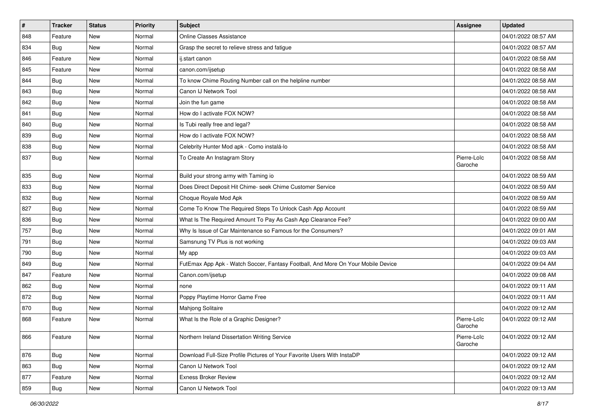| $\vert$ # | <b>Tracker</b> | <b>Status</b> | <b>Priority</b> | <b>Subject</b>                                                                   | Assignee               | <b>Updated</b>      |
|-----------|----------------|---------------|-----------------|----------------------------------------------------------------------------------|------------------------|---------------------|
| 848       | Feature        | New           | Normal          | Online Classes Assistance                                                        |                        | 04/01/2022 08:57 AM |
| 834       | Bug            | <b>New</b>    | Normal          | Grasp the secret to relieve stress and fatigue                                   |                        | 04/01/2022 08:57 AM |
| 846       | Feature        | New           | Normal          | ij.start canon                                                                   |                        | 04/01/2022 08:58 AM |
| 845       | Feature        | <b>New</b>    | Normal          | canon.com/ijsetup                                                                |                        | 04/01/2022 08:58 AM |
| 844       | Bug            | New           | Normal          | To know Chime Routing Number call on the helpline number                         |                        | 04/01/2022 08:58 AM |
| 843       | Bug            | <b>New</b>    | Normal          | Canon IJ Network Tool                                                            |                        | 04/01/2022 08:58 AM |
| 842       | Bug            | <b>New</b>    | Normal          | Join the fun game                                                                |                        | 04/01/2022 08:58 AM |
| 841       | Bug            | <b>New</b>    | Normal          | How do I activate FOX NOW?                                                       |                        | 04/01/2022 08:58 AM |
| 840       | Bug            | <b>New</b>    | Normal          | Is Tubi really free and legal?                                                   |                        | 04/01/2022 08:58 AM |
| 839       | Bug            | <b>New</b>    | Normal          | How do I activate FOX NOW?                                                       |                        | 04/01/2022 08:58 AM |
| 838       | Bug            | New           | Normal          | Celebrity Hunter Mod apk - Como instalá-lo                                       |                        | 04/01/2022 08:58 AM |
| 837       | Bug            | <b>New</b>    | Normal          | To Create An Instagram Story                                                     | Pierre-Loïc<br>Garoche | 04/01/2022 08:58 AM |
| 835       | Bug            | <b>New</b>    | Normal          | Build your strong army with Taming io                                            |                        | 04/01/2022 08:59 AM |
| 833       | Bug            | <b>New</b>    | Normal          | Does Direct Deposit Hit Chime- seek Chime Customer Service                       |                        | 04/01/2022 08:59 AM |
| 832       | Bug            | <b>New</b>    | Normal          | Choque Royale Mod Apk                                                            |                        | 04/01/2022 08:59 AM |
| 827       | Bug            | <b>New</b>    | Normal          | Come To Know The Required Steps To Unlock Cash App Account                       |                        | 04/01/2022 08:59 AM |
| 836       | Bug            | <b>New</b>    | Normal          | What Is The Required Amount To Pay As Cash App Clearance Fee?                    |                        | 04/01/2022 09:00 AM |
| 757       | Bug            | <b>New</b>    | Normal          | Why Is Issue of Car Maintenance so Famous for the Consumers?                     |                        | 04/01/2022 09:01 AM |
| 791       | Bug            | <b>New</b>    | Normal          | Samsnung TV Plus is not working                                                  |                        | 04/01/2022 09:03 AM |
| 790       | Bug            | <b>New</b>    | Normal          | My app                                                                           |                        | 04/01/2022 09:03 AM |
| 849       | Bug            | <b>New</b>    | Normal          | FutEmax App Apk - Watch Soccer, Fantasy Football, And More On Your Mobile Device |                        | 04/01/2022 09:04 AM |
| 847       | Feature        | <b>New</b>    | Normal          | Canon.com/ijsetup                                                                |                        | 04/01/2022 09:08 AM |
| 862       | Bug            | New           | Normal          | none                                                                             |                        | 04/01/2022 09:11 AM |
| 872       | Bug            | <b>New</b>    | Normal          | Poppy Playtime Horror Game Free                                                  |                        | 04/01/2022 09:11 AM |
| 870       | Bug            | New           | Normal          | Mahjong Solitaire                                                                |                        | 04/01/2022 09:12 AM |
| 868       | Feature        | <b>New</b>    | Normal          | What Is the Role of a Graphic Designer?                                          | Pierre-Loïc<br>Garoche | 04/01/2022 09:12 AM |
| 866       | Feature        | New           | Normal          | Northern Ireland Dissertation Writing Service                                    | Pierre-Loïc<br>Garoche | 04/01/2022 09:12 AM |
| 876       | Bug            | New           | Normal          | Download Full-Size Profile Pictures of Your Favorite Users With InstaDP          |                        | 04/01/2022 09:12 AM |
| 863       | Bug            | New           | Normal          | Canon IJ Network Tool                                                            |                        | 04/01/2022 09:12 AM |
| 877       | Feature        | New           | Normal          | <b>Exness Broker Review</b>                                                      |                        | 04/01/2022 09:12 AM |
| 859       | <b>Bug</b>     | New           | Normal          | Canon IJ Network Tool                                                            |                        | 04/01/2022 09:13 AM |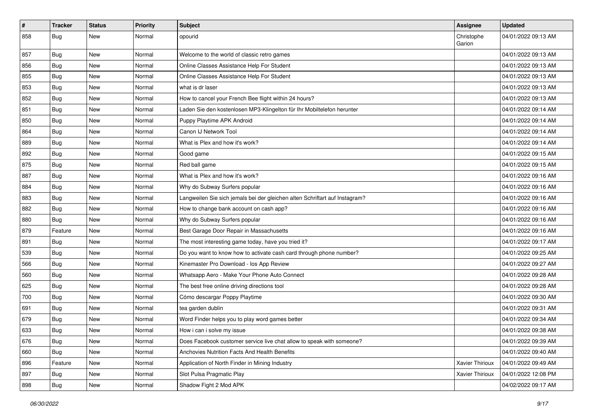| #   | <b>Tracker</b> | <b>Status</b> | <b>Priority</b> | <b>Subject</b>                                                              | <b>Assignee</b>      | <b>Updated</b>      |
|-----|----------------|---------------|-----------------|-----------------------------------------------------------------------------|----------------------|---------------------|
| 858 | Bug            | <b>New</b>    | Normal          | opourid                                                                     | Christophe<br>Garion | 04/01/2022 09:13 AM |
| 857 | Bug            | <b>New</b>    | Normal          | Welcome to the world of classic retro games                                 |                      | 04/01/2022 09:13 AM |
| 856 | Bug            | <b>New</b>    | Normal          | Online Classes Assistance Help For Student                                  |                      | 04/01/2022 09:13 AM |
| 855 | Bug            | <b>New</b>    | Normal          | Online Classes Assistance Help For Student                                  |                      | 04/01/2022 09:13 AM |
| 853 | Bug            | <b>New</b>    | Normal          | what is dr laser                                                            |                      | 04/01/2022 09:13 AM |
| 852 | Bug            | <b>New</b>    | Normal          | How to cancel your French Bee flight within 24 hours?                       |                      | 04/01/2022 09:13 AM |
| 851 | Bug            | New           | Normal          | Laden Sie den kostenlosen MP3-Klingelton für Ihr Mobiltelefon herunter      |                      | 04/01/2022 09:14 AM |
| 850 | Bug            | <b>New</b>    | Normal          | Puppy Playtime APK Android                                                  |                      | 04/01/2022 09:14 AM |
| 864 | Bug            | New           | Normal          | Canon IJ Network Tool                                                       |                      | 04/01/2022 09:14 AM |
| 889 | Bug            | <b>New</b>    | Normal          | What is Plex and how it's work?                                             |                      | 04/01/2022 09:14 AM |
| 892 | Bug            | <b>New</b>    | Normal          | Good game                                                                   |                      | 04/01/2022 09:15 AM |
| 875 | Bug            | <b>New</b>    | Normal          | Red ball game                                                               |                      | 04/01/2022 09:15 AM |
| 887 | Bug            | <b>New</b>    | Normal          | What is Plex and how it's work?                                             |                      | 04/01/2022 09:16 AM |
| 884 | Bug            | <b>New</b>    | Normal          | Why do Subway Surfers popular                                               |                      | 04/01/2022 09:16 AM |
| 883 | Bug            | New           | Normal          | Langweilen Sie sich jemals bei der gleichen alten Schriftart auf Instagram? |                      | 04/01/2022 09:16 AM |
| 882 | Bug            | <b>New</b>    | Normal          | How to change bank account on cash app?                                     |                      | 04/01/2022 09:16 AM |
| 880 | Bug            | <b>New</b>    | Normal          | Why do Subway Surfers popular                                               |                      | 04/01/2022 09:16 AM |
| 879 | Feature        | <b>New</b>    | Normal          | Best Garage Door Repair in Massachusetts                                    |                      | 04/01/2022 09:16 AM |
| 891 | Bug            | <b>New</b>    | Normal          | The most interesting game today, have you tried it?                         |                      | 04/01/2022 09:17 AM |
| 539 | Bug            | New           | Normal          | Do you want to know how to activate cash card through phone number?         |                      | 04/01/2022 09:25 AM |
| 566 | Bug            | <b>New</b>    | Normal          | Kinemaster Pro Download - los App Review                                    |                      | 04/01/2022 09:27 AM |
| 560 | Bug            | <b>New</b>    | Normal          | Whatsapp Aero - Make Your Phone Auto Connect                                |                      | 04/01/2022 09:28 AM |
| 625 | Bug            | <b>New</b>    | Normal          | The best free online driving directions tool                                |                      | 04/01/2022 09:28 AM |
| 700 | Bug            | <b>New</b>    | Normal          | Cómo descargar Poppy Playtime                                               |                      | 04/01/2022 09:30 AM |
| 691 | Bug            | <b>New</b>    | Normal          | tea garden dublin                                                           |                      | 04/01/2022 09:31 AM |
| 679 | Bug            | <b>New</b>    | Normal          | Word Finder helps you to play word games better                             |                      | 04/01/2022 09:34 AM |
| 633 | <b>Bug</b>     | <b>New</b>    | Normal          | How i can i solve my issue                                                  |                      | 04/01/2022 09:38 AM |
| 676 | <b>Bug</b>     | New           | Normal          | Does Facebook customer service live chat allow to speak with someone?       |                      | 04/01/2022 09:39 AM |
| 660 | Bug            | New           | Normal          | Anchovies Nutrition Facts And Health Benefits                               |                      | 04/01/2022 09:40 AM |
| 896 | Feature        | New           | Normal          | Application of North Finder in Mining Industry                              | Xavier Thirioux      | 04/01/2022 09:49 AM |
| 897 | <b>Bug</b>     | New           | Normal          | Slot Pulsa Pragmatic Play                                                   | Xavier Thirioux      | 04/01/2022 12:08 PM |
| 898 | <b>Bug</b>     | New           | Normal          | Shadow Fight 2 Mod APK                                                      |                      | 04/02/2022 09:17 AM |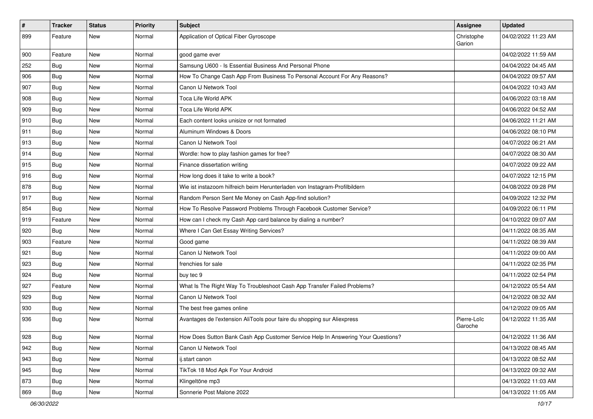| #   | <b>Tracker</b> | <b>Status</b> | <b>Priority</b> | Subject                                                                          | Assignee               | <b>Updated</b>      |
|-----|----------------|---------------|-----------------|----------------------------------------------------------------------------------|------------------------|---------------------|
| 899 | Feature        | <b>New</b>    | Normal          | Application of Optical Fiber Gyroscope                                           | Christophe<br>Garion   | 04/02/2022 11:23 AM |
| 900 | Feature        | <b>New</b>    | Normal          | good game ever                                                                   |                        | 04/02/2022 11:59 AM |
| 252 | Bug            | <b>New</b>    | Normal          | Samsung U600 - Is Essential Business And Personal Phone                          |                        | 04/04/2022 04:45 AM |
| 906 | Bug            | <b>New</b>    | Normal          | How To Change Cash App From Business To Personal Account For Any Reasons?        |                        | 04/04/2022 09:57 AM |
| 907 | Bug            | <b>New</b>    | Normal          | Canon IJ Network Tool                                                            |                        | 04/04/2022 10:43 AM |
| 908 | Bug            | <b>New</b>    | Normal          | Toca Life World APK                                                              |                        | 04/06/2022 03:18 AM |
| 909 | Bug            | New           | Normal          | Toca Life World APK                                                              |                        | 04/06/2022 04:52 AM |
| 910 | Bug            | <b>New</b>    | Normal          | Each content looks unisize or not formated                                       |                        | 04/06/2022 11:21 AM |
| 911 | Bug            | New           | Normal          | Aluminum Windows & Doors                                                         |                        | 04/06/2022 08:10 PM |
| 913 | Bug            | <b>New</b>    | Normal          | Canon IJ Network Tool                                                            |                        | 04/07/2022 06:21 AM |
| 914 | Bug            | <b>New</b>    | Normal          | Wordle: how to play fashion games for free?                                      |                        | 04/07/2022 08:30 AM |
| 915 | Bug            | <b>New</b>    | Normal          | Finance dissertation writing                                                     |                        | 04/07/2022 09:22 AM |
| 916 | Bug            | New           | Normal          | How long does it take to write a book?                                           |                        | 04/07/2022 12:15 PM |
| 878 | Bug            | <b>New</b>    | Normal          | Wie ist instazoom hilfreich beim Herunterladen von Instagram-Profilbildern       |                        | 04/08/2022 09:28 PM |
| 917 | Bug            | <b>New</b>    | Normal          | Random Person Sent Me Money on Cash App-find solution?                           |                        | 04/09/2022 12:32 PM |
| 854 | Bug            | <b>New</b>    | Normal          | How To Resolve Password Problems Through Facebook Customer Service?              |                        | 04/09/2022 06:11 PM |
| 919 | Feature        | <b>New</b>    | Normal          | How can I check my Cash App card balance by dialing a number?                    |                        | 04/10/2022 09:07 AM |
| 920 | Bug            | <b>New</b>    | Normal          | Where I Can Get Essay Writing Services?                                          |                        | 04/11/2022 08:35 AM |
| 903 | Feature        | <b>New</b>    | Normal          | Good game                                                                        |                        | 04/11/2022 08:39 AM |
| 921 | Bug            | New           | Normal          | Canon IJ Network Tool                                                            |                        | 04/11/2022 09:00 AM |
| 923 | Bug            | <b>New</b>    | Normal          | frenchies for sale                                                               |                        | 04/11/2022 02:35 PM |
| 924 | Bug            | <b>New</b>    | Normal          | buy tec 9                                                                        |                        | 04/11/2022 02:54 PM |
| 927 | Feature        | <b>New</b>    | Normal          | What Is The Right Way To Troubleshoot Cash App Transfer Failed Problems?         |                        | 04/12/2022 05:54 AM |
| 929 | Bug            | <b>New</b>    | Normal          | Canon IJ Network Tool                                                            |                        | 04/12/2022 08:32 AM |
| 930 | Bug            | <b>New</b>    | Normal          | The best free games online                                                       |                        | 04/12/2022 09:05 AM |
| 936 | Bug            | <b>New</b>    | Normal          | Avantages de l'extension AliTools pour faire du shopping sur Aliexpress          | Pierre-Loïc<br>Garoche | 04/12/2022 11:35 AM |
| 928 | Bug            | New           | Normal          | How Does Sutton Bank Cash App Customer Service Help In Answering Your Questions? |                        | 04/12/2022 11:36 AM |
| 942 | Bug            | New           | Normal          | Canon IJ Network Tool                                                            |                        | 04/13/2022 08:45 AM |
| 943 | Bug            | New           | Normal          | ij.start canon                                                                   |                        | 04/13/2022 08:52 AM |
| 945 | Bug            | New           | Normal          | TikTok 18 Mod Apk For Your Android                                               |                        | 04/13/2022 09:32 AM |
| 873 | Bug            | New           | Normal          | Klingeltöne mp3                                                                  |                        | 04/13/2022 11:03 AM |
| 869 | <b>Bug</b>     | New           | Normal          | Sonnerie Post Malone 2022                                                        |                        | 04/13/2022 11:05 AM |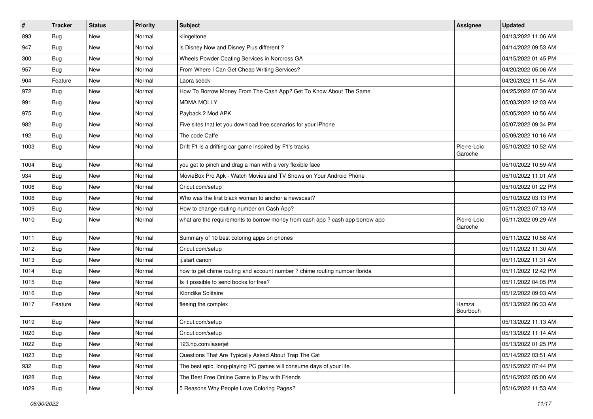| $\vert$ # | <b>Tracker</b> | <b>Status</b> | <b>Priority</b> | <b>Subject</b>                                                                | <b>Assignee</b>        | <b>Updated</b>      |
|-----------|----------------|---------------|-----------------|-------------------------------------------------------------------------------|------------------------|---------------------|
| 893       | <b>Bug</b>     | New           | Normal          | klingeltone                                                                   |                        | 04/13/2022 11:06 AM |
| 947       | Bug            | New           | Normal          | is Disney Now and Disney Plus different?                                      |                        | 04/14/2022 09:53 AM |
| 300       | Bug            | New           | Normal          | Wheels Powder Coating Services in Norcross GA                                 |                        | 04/15/2022 01:45 PM |
| 957       | <b>Bug</b>     | New           | Normal          | From Where I Can Get Cheap Writing Services?                                  |                        | 04/20/2022 05:06 AM |
| 904       | Feature        | New           | Normal          | Laora seeck                                                                   |                        | 04/20/2022 11:54 AM |
| 972       | Bug            | New           | Normal          | How To Borrow Money From The Cash App? Get To Know About The Same             |                        | 04/25/2022 07:30 AM |
| 991       | Bug            | New           | Normal          | <b>MDMA MOLLY</b>                                                             |                        | 05/03/2022 12:03 AM |
| 975       | Bug            | New           | Normal          | Payback 2 Mod APK                                                             |                        | 05/05/2022 10:56 AM |
| 982       | Bug            | New           | Normal          | Five sites that let you download free scenarios for your iPhone               |                        | 05/07/2022 09:34 PM |
| 192       | Bug            | <b>New</b>    | Normal          | The code Caffe                                                                |                        | 05/09/2022 10:16 AM |
| 1003      | Bug            | New           | Normal          | Drift F1 is a drifting car game inspired by F1's tracks.                      | Pierre-Loïc<br>Garoche | 05/10/2022 10:52 AM |
| 1004      | Bug            | New           | Normal          | you get to pinch and drag a man with a very flexible face                     |                        | 05/10/2022 10:59 AM |
| 934       | Bug            | New           | Normal          | MovieBox Pro Apk - Watch Movies and TV Shows on Your Android Phone            |                        | 05/10/2022 11:01 AM |
| 1006      | Bug            | New           | Normal          | Cricut.com/setup                                                              |                        | 05/10/2022 01:22 PM |
| 1008      | Bug            | New           | Normal          | Who was the first black woman to anchor a newscast?                           |                        | 05/10/2022 03:13 PM |
| 1009      | <b>Bug</b>     | New           | Normal          | How to change routing number on Cash App?                                     |                        | 05/11/2022 07:13 AM |
| 1010      | <b>Bug</b>     | New           | Normal          | what are the requirements to borrow money from cash app ? cash app borrow app | Pierre-Loïc<br>Garoche | 05/11/2022 09:29 AM |
| 1011      | Bug            | New           | Normal          | Summary of 10 best coloring apps on phones                                    |                        | 05/11/2022 10:58 AM |
| 1012      | Bug            | New           | Normal          | Cricut.com/setup                                                              |                        | 05/11/2022 11:30 AM |
| 1013      | Bug            | New           | Normal          | ij.start canon                                                                |                        | 05/11/2022 11:31 AM |
| 1014      | Bug            | <b>New</b>    | Normal          | how to get chime routing and account number ? chime routing number florida    |                        | 05/11/2022 12:42 PM |
| 1015      | Bug            | New           | Normal          | Is it possible to send books for free?                                        |                        | 05/11/2022 04:05 PM |
| 1016      | <b>Bug</b>     | New           | Normal          | Klondike Solitaire                                                            |                        | 05/12/2022 09:03 AM |
| 1017      | Feature        | New           | Normal          | fleeing the complex                                                           | Hamza<br>Bourbouh      | 05/13/2022 06:33 AM |
| 1019      | Bug            | New           | Normal          | Cricut.com/setup                                                              |                        | 05/13/2022 11:13 AM |
| 1020      | Bug            | New           | Normal          | Cricut.com/setup                                                              |                        | 05/13/2022 11:14 AM |
| 1022      | <b>Bug</b>     | New           | Normal          | 123.hp.com/laserjet                                                           |                        | 05/13/2022 01:25 PM |
| 1023      | <b>Bug</b>     | New           | Normal          | Questions That Are Typically Asked About Trap The Cat                         |                        | 05/14/2022 03:51 AM |
| 932       | Bug            | New           | Normal          | The best epic, long-playing PC games will consume days of your life.          |                        | 05/15/2022 07:44 PM |
| 1028      | <b>Bug</b>     | New           | Normal          | The Best Free Online Game to Play with Friends                                |                        | 05/16/2022 05:00 AM |
| 1029      | <b>Bug</b>     | New           | Normal          | 5 Reasons Why People Love Coloring Pages?                                     |                        | 05/16/2022 11:53 AM |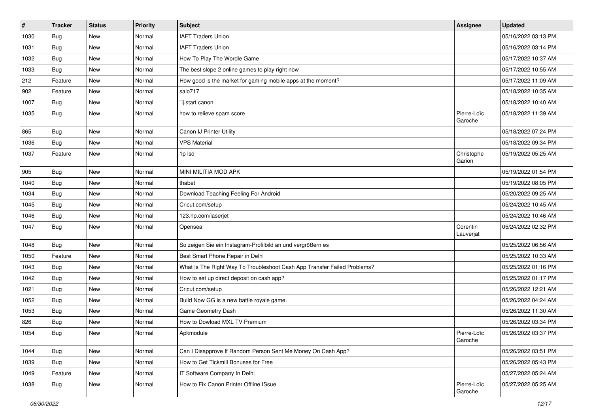| $\pmb{\#}$ | <b>Tracker</b> | <b>Status</b> | <b>Priority</b> | <b>Subject</b>                                                           | Assignee               | <b>Updated</b>      |
|------------|----------------|---------------|-----------------|--------------------------------------------------------------------------|------------------------|---------------------|
| 1030       | Bug            | New           | Normal          | <b>IAFT Traders Union</b>                                                |                        | 05/16/2022 03:13 PM |
| 1031       | Bug            | <b>New</b>    | Normal          | <b>IAFT Traders Union</b>                                                |                        | 05/16/2022 03:14 PM |
| 1032       | Bug            | New           | Normal          | How To Play The Wordle Game                                              |                        | 05/17/2022 10:37 AM |
| 1033       | Bug            | <b>New</b>    | Normal          | The best slope 2 online games to play right now                          |                        | 05/17/2022 10:55 AM |
| 212        | Feature        | <b>New</b>    | Normal          | How good is the market for gaming mobile apps at the moment?             |                        | 05/17/2022 11:09 AM |
| 902        | Feature        | New           | Normal          | salo717                                                                  |                        | 05/18/2022 10:35 AM |
| 1007       | Bug            | <b>New</b>    | Normal          | "ij.start canon                                                          |                        | 05/18/2022 10:40 AM |
| 1035       | Bug            | New           | Normal          | how to relieve spam score                                                | Pierre-Loïc<br>Garoche | 05/18/2022 11:39 AM |
| 865        | Bug            | <b>New</b>    | Normal          | Canon IJ Printer Utility                                                 |                        | 05/18/2022 07:24 PM |
| 1036       | Bug            | New           | Normal          | <b>VPS Material</b>                                                      |                        | 05/18/2022 09:34 PM |
| 1037       | Feature        | New           | Normal          | 1p lsd                                                                   | Christophe<br>Garion   | 05/19/2022 05:25 AM |
| 905        | Bug            | <b>New</b>    | Normal          | MINI MILITIA MOD APK                                                     |                        | 05/19/2022 01:54 PM |
| 1040       | Bug            | New           | Normal          | thabet                                                                   |                        | 05/19/2022 08:05 PM |
| 1034       | Bug            | New           | Normal          | Download Teaching Feeling For Android                                    |                        | 05/20/2022 09:25 AM |
| 1045       | Bug            | New           | Normal          | Cricut.com/setup                                                         |                        | 05/24/2022 10:45 AM |
| 1046       | Bug            | <b>New</b>    | Normal          | 123.hp.com/laserjet                                                      |                        | 05/24/2022 10:46 AM |
| 1047       | Bug            | New           | Normal          | Opensea                                                                  | Corentin<br>Lauverjat  | 05/24/2022 02:32 PM |
| 1048       | Bug            | <b>New</b>    | Normal          | So zeigen Sie ein Instagram-Profilbild an und vergrößern es              |                        | 05/25/2022 06:56 AM |
| 1050       | Feature        | <b>New</b>    | Normal          | Best Smart Phone Repair in Delhi                                         |                        | 05/25/2022 10:33 AM |
| 1043       | <b>Bug</b>     | New           | Normal          | What Is The Right Way To Troubleshoot Cash App Transfer Failed Problems? |                        | 05/25/2022 01:16 PM |
| 1042       | Bug            | New           | Normal          | How to set up direct deposit on cash app?                                |                        | 05/25/2022 01:17 PM |
| 1021       | Bug            | New           | Normal          | Cricut.com/setup                                                         |                        | 05/26/2022 12:21 AM |
| 1052       | Bug            | New           | Normal          | Build Now GG is a new battle royale game.                                |                        | 05/26/2022 04:24 AM |
| 1053       | Bug            | New           | Normal          | Game Geometry Dash                                                       |                        | 05/26/2022 11:30 AM |
| 826        | Bug            | New           | Normal          | How to Dowload MXL TV Premium                                            |                        | 05/26/2022 03:34 PM |
| 1054       | <b>Bug</b>     | New           | Normal          | Apkmodule                                                                | Pierre-Loïc<br>Garoche | 05/26/2022 03:37 PM |
| 1044       | <b>Bug</b>     | New           | Normal          | Can I Disapprove If Random Person Sent Me Money On Cash App?             |                        | 05/26/2022 03:51 PM |
| 1039       | Bug            | New           | Normal          | How to Get Tickmill Bonuses for Free                                     |                        | 05/26/2022 05:43 PM |
| 1049       | Feature        | New           | Normal          | IT Software Company In Delhi                                             |                        | 05/27/2022 05:24 AM |
| 1038       | Bug            | New           | Normal          | How to Fix Canon Printer Offline ISsue                                   | Pierre-Loïc<br>Garoche | 05/27/2022 05:25 AM |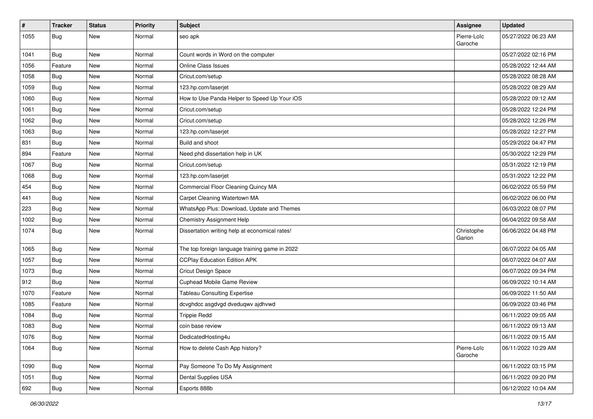| $\#$ | <b>Tracker</b> | <b>Status</b> | <b>Priority</b> | <b>Subject</b>                                 | Assignee               | <b>Updated</b>      |
|------|----------------|---------------|-----------------|------------------------------------------------|------------------------|---------------------|
| 1055 | Bug            | New           | Normal          | seo apk                                        | Pierre-Loïc<br>Garoche | 05/27/2022 06:23 AM |
| 1041 | Bug            | <b>New</b>    | Normal          | Count words in Word on the computer            |                        | 05/27/2022 02:16 PM |
| 1056 | Feature        | New           | Normal          | <b>Online Class Issues</b>                     |                        | 05/28/2022 12:44 AM |
| 1058 | Bug            | <b>New</b>    | Normal          | Cricut.com/setup                               |                        | 05/28/2022 08:28 AM |
| 1059 | Bug            | New           | Normal          | 123.hp.com/laserjet                            |                        | 05/28/2022 08:29 AM |
| 1060 | Bug            | New           | Normal          | How to Use Panda Helper to Speed Up Your iOS   |                        | 05/28/2022 09:12 AM |
| 1061 | Bug            | New           | Normal          | Cricut.com/setup                               |                        | 05/28/2022 12:24 PM |
| 1062 | Bug            | New           | Normal          | Cricut.com/setup                               |                        | 05/28/2022 12:26 PM |
| 1063 | Bug            | <b>New</b>    | Normal          | 123.hp.com/laserjet                            |                        | 05/28/2022 12:27 PM |
| 831  | Bug            | <b>New</b>    | Normal          | Build and shoot                                |                        | 05/29/2022 04:47 PM |
| 894  | Feature        | <b>New</b>    | Normal          | Need phd dissertation help in UK               |                        | 05/30/2022 12:29 PM |
| 1067 | Bug            | New           | Normal          | Cricut.com/setup                               |                        | 05/31/2022 12:19 PM |
| 1068 | Bug            | New           | Normal          | 123.hp.com/laserjet                            |                        | 05/31/2022 12:22 PM |
| 454  | Bug            | <b>New</b>    | Normal          | Commercial Floor Cleaning Quincy MA            |                        | 06/02/2022 05:59 PM |
| 441  | Bug            | New           | Normal          | Carpet Cleaning Watertown MA                   |                        | 06/02/2022 06:00 PM |
| 223  | Bug            | <b>New</b>    | Normal          | WhatsApp Plus: Download, Update and Themes     |                        | 06/03/2022 08:07 PM |
| 1002 | Bug            | <b>New</b>    | Normal          | <b>Chemistry Assignment Help</b>               |                        | 06/04/2022 09:58 AM |
| 1074 | Bug            | New           | Normal          | Dissertation writing help at economical rates! | Christophe<br>Garion   | 06/06/2022 04:48 PM |
| 1065 | Bug            | <b>New</b>    | Normal          | The top foreign language training game in 2022 |                        | 06/07/2022 04:05 AM |
| 1057 | Bug            | New           | Normal          | <b>CCPlay Education Edition APK</b>            |                        | 06/07/2022 04:07 AM |
| 1073 | Bug            | <b>New</b>    | Normal          | Cricut Design Space                            |                        | 06/07/2022 09:34 PM |
| 912  | <b>Bug</b>     | New           | Normal          | Cuphead Mobile Game Review                     |                        | 06/09/2022 10:14 AM |
| 1070 | Feature        | New           | Normal          | <b>Tableau Consulting Expertise</b>            |                        | 06/09/2022 11:50 AM |
| 1085 | Feature        | New           | Normal          | dcvghdcc asgdvgd dveduqwv ajdhvwd              |                        | 06/09/2022 03:46 PM |
| 1084 | Bug            | New           | Normal          | <b>Trippie Redd</b>                            |                        | 06/11/2022 09:05 AM |
| 1083 | Bug            | New           | Normal          | coin base review                               |                        | 06/11/2022 09:13 AM |
| 1076 | <b>Bug</b>     | New           | Normal          | DedicatedHosting4u                             |                        | 06/11/2022 09:15 AM |
| 1064 | Bug            | New           | Normal          | How to delete Cash App history?                | Pierre-Loïc<br>Garoche | 06/11/2022 10:29 AM |
| 1090 | Bug            | New           | Normal          | Pay Someone To Do My Assignment                |                        | 06/11/2022 03:15 PM |
| 1051 | Bug            | New           | Normal          | Dental Supplies USA                            |                        | 06/11/2022 09:20 PM |
| 692  | Bug            | New           | Normal          | Esports 888b                                   |                        | 06/12/2022 10:04 AM |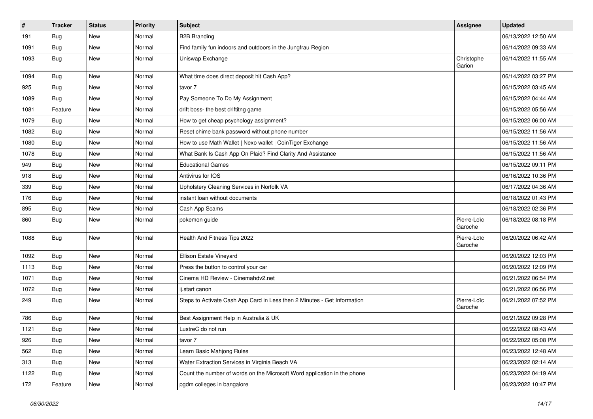| $\vert$ # | <b>Tracker</b> | <b>Status</b> | <b>Priority</b> | <b>Subject</b>                                                           | Assignee               | <b>Updated</b>      |
|-----------|----------------|---------------|-----------------|--------------------------------------------------------------------------|------------------------|---------------------|
| 191       | <b>Bug</b>     | New           | Normal          | <b>B2B Branding</b>                                                      |                        | 06/13/2022 12:50 AM |
| 1091      | <b>Bug</b>     | New           | Normal          | Find family fun indoors and outdoors in the Jungfrau Region              |                        | 06/14/2022 09:33 AM |
| 1093      | Bug            | New           | Normal          | Uniswap Exchange                                                         | Christophe<br>Garion   | 06/14/2022 11:55 AM |
| 1094      | Bug            | New           | Normal          | What time does direct deposit hit Cash App?                              |                        | 06/14/2022 03:27 PM |
| 925       | <b>Bug</b>     | New           | Normal          | tavor 7                                                                  |                        | 06/15/2022 03:45 AM |
| 1089      | Bug            | <b>New</b>    | Normal          | Pay Someone To Do My Assignment                                          |                        | 06/15/2022 04:44 AM |
| 1081      | Feature        | <b>New</b>    | Normal          | drift boss- the best driftitng game                                      |                        | 06/15/2022 05:56 AM |
| 1079      | Bug            | New           | Normal          | How to get cheap psychology assignment?                                  |                        | 06/15/2022 06:00 AM |
| 1082      | <b>Bug</b>     | <b>New</b>    | Normal          | Reset chime bank password without phone number                           |                        | 06/15/2022 11:56 AM |
| 1080      | Bug            | New           | Normal          | How to use Math Wallet   Nexo wallet   CoinTiger Exchange                |                        | 06/15/2022 11:56 AM |
| 1078      | <b>Bug</b>     | New           | Normal          | What Bank Is Cash App On Plaid? Find Clarity And Assistance              |                        | 06/15/2022 11:56 AM |
| 949       | Bug            | New           | Normal          | <b>Educational Games</b>                                                 |                        | 06/15/2022 09:11 PM |
| 918       | Bug            | New           | Normal          | Antivirus for IOS                                                        |                        | 06/16/2022 10:36 PM |
| 339       | Bug            | <b>New</b>    | Normal          | Upholstery Cleaning Services in Norfolk VA                               |                        | 06/17/2022 04:36 AM |
| 176       | Bug            | New           | Normal          | instant loan without documents                                           |                        | 06/18/2022 01:43 PM |
| 895       | Bug            | <b>New</b>    | Normal          | Cash App Scams                                                           |                        | 06/18/2022 02:36 PM |
| 860       | <b>Bug</b>     | New           | Normal          | pokemon guide                                                            | Pierre-Loïc<br>Garoche | 06/18/2022 08:18 PM |
| 1088      | Bug            | <b>New</b>    | Normal          | Health And Fitness Tips 2022                                             | Pierre-Loïc<br>Garoche | 06/20/2022 06:42 AM |
| 1092      | Bug            | New           | Normal          | Ellison Estate Vineyard                                                  |                        | 06/20/2022 12:03 PM |
| 1113      | <b>Bug</b>     | <b>New</b>    | Normal          | Press the button to control your car                                     |                        | 06/20/2022 12:09 PM |
| 1071      | Bug            | New           | Normal          | Cinema HD Review - Cinemahdv2.net                                        |                        | 06/21/2022 06:54 PM |
| 1072      | Bug            | New           | Normal          | ij.start canon                                                           |                        | 06/21/2022 06:56 PM |
| 249       | <b>Bug</b>     | New           | Normal          | Steps to Activate Cash App Card in Less then 2 Minutes - Get Information | Pierre-Loïc<br>Garoche | 06/21/2022 07:52 PM |
| 786       | <b>Bug</b>     | New           | Normal          | Best Assignment Help in Australia & UK                                   |                        | 06/21/2022 09:28 PM |
| 1121      | <b>Bug</b>     | New           | Normal          | LustreC do not run                                                       |                        | 06/22/2022 08:43 AM |
| 926       | <b>Bug</b>     | New           | Normal          | tavor 7                                                                  |                        | 06/22/2022 05:08 PM |
| 562       | Bug            | New           | Normal          | Learn Basic Mahjong Rules                                                |                        | 06/23/2022 12:48 AM |
| 313       | Bug            | New           | Normal          | Water Extraction Services in Virginia Beach VA                           |                        | 06/23/2022 02:14 AM |
| 1122      | Bug            | New           | Normal          | Count the number of words on the Microsoft Word application in the phone |                        | 06/23/2022 04:19 AM |
| 172       | Feature        | New           | Normal          | pgdm colleges in bangalore                                               |                        | 06/23/2022 10:47 PM |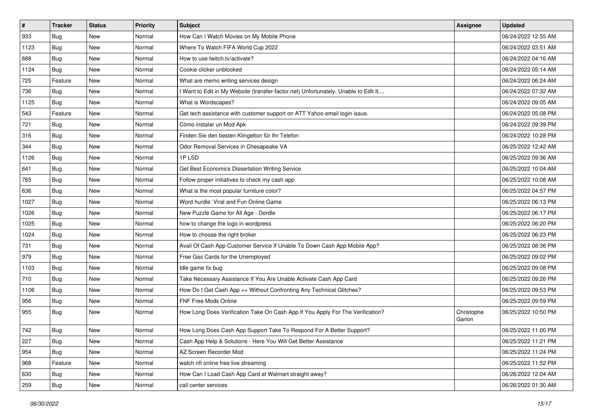| $\pmb{\#}$ | <b>Tracker</b> | <b>Status</b> | <b>Priority</b> | Subject                                                                             | Assignee             | <b>Updated</b>      |
|------------|----------------|---------------|-----------------|-------------------------------------------------------------------------------------|----------------------|---------------------|
| 933        | Bug            | New           | Normal          | How Can I Watch Movies on My Mobile Phone                                           |                      | 06/24/2022 12:55 AM |
| 1123       | Bug            | <b>New</b>    | Normal          | Where To Watch FIFA World Cup 2022                                                  |                      | 06/24/2022 03:51 AM |
| 688        | Bug            | New           | Normal          | How to use twitch.tv/activate?                                                      |                      | 06/24/2022 04:16 AM |
| 1124       | Bug            | <b>New</b>    | Normal          | Cookie clicker unblocked                                                            |                      | 06/24/2022 05:14 AM |
| 725        | Feature        | <b>New</b>    | Normal          | What are memo writing services design                                               |                      | 06/24/2022 06:24 AM |
| 736        | Bug            | New           | Normal          | I Want to Edit in My Website (transfer-factor.net) Unfortunately, Unable to Edit It |                      | 06/24/2022 07:32 AM |
| 1125       | Bug            | <b>New</b>    | Normal          | What is Wordscapes?                                                                 |                      | 06/24/2022 09:05 AM |
| 543        | Feature        | New           | Normal          | Get tech assistance with customer support on ATT Yahoo email login issue.           |                      | 06/24/2022 05:08 PM |
| 721        | Bug            | New           | Normal          | Cómo instalar un Mod Apk                                                            |                      | 06/24/2022 09:39 PM |
| 316        | Bug            | <b>New</b>    | Normal          | Finden Sie den besten Klingelton für Ihr Telefon                                    |                      | 06/24/2022 10:28 PM |
| 344        | Bug            | New           | Normal          | Odor Removal Services in Chesapeake VA                                              |                      | 06/25/2022 12:42 AM |
| 1126       | Bug            | New           | Normal          | 1PLSD                                                                               |                      | 06/25/2022 09:36 AM |
| 641        | <b>Bug</b>     | New           | Normal          | Get Best Economics Dissertation Writing Service                                     |                      | 06/25/2022 10:04 AM |
| 765        | Bug            | New           | Normal          | Follow proper initiatives to check my cash app                                      |                      | 06/25/2022 10:08 AM |
| 636        | Bug            | New           | Normal          | What is the most popular furniture color?                                           |                      | 06/25/2022 04:57 PM |
| 1027       | Bug            | New           | Normal          | Word hurdle: Viral and Fun Online Game                                              |                      | 06/25/2022 06:13 PM |
| 1026       | Bug            | New           | Normal          | New Puzzle Game for All Age - Dordle                                                |                      | 06/25/2022 06:17 PM |
| 1025       | Bug            | New           | Normal          | how to change the logo in wordpress                                                 |                      | 06/25/2022 06:20 PM |
| 1024       | Bug            | New           | Normal          | How to choose the right broker                                                      |                      | 06/25/2022 06:23 PM |
| 731        | Bug            | <b>New</b>    | Normal          | Avail Of Cash App Customer Service If Unable To Down Cash App Mobile App?           |                      | 06/25/2022 08:36 PM |
| 979        | Bug            | New           | Normal          | Free Gas Cards for the Unemployed                                                   |                      | 06/25/2022 09:02 PM |
| 1103       | Bug            | New           | Normal          | Idle game fix bug                                                                   |                      | 06/25/2022 09:08 PM |
| 710        | Bug            | New           | Normal          | Take Necessary Assistance If You Are Unable Activate Cash App Card                  |                      | 06/25/2022 09:26 PM |
| 1106       | Bug            | New           | Normal          | How Do I Get Cash App ++ Without Confronting Any Technical Glitches?                |                      | 06/25/2022 09:53 PM |
| 956        | Bug            | <b>New</b>    | Normal          | FNF Free Mods Online                                                                |                      | 06/25/2022 09:59 PM |
| 955        | Bug            | New           | Normal          | How Long Does Verification Take On Cash App If You Apply For The Verification?      | Christophe<br>Garion | 06/25/2022 10:50 PM |
| 742        | Bug            | New           | Normal          | How Long Does Cash App Support Take To Respond For A Better Support?                |                      | 06/25/2022 11:00 PM |
| 227        | Bug            | New           | Normal          | Cash App Help & Solutions - Here You Will Get Better Assistance                     |                      | 06/25/2022 11:21 PM |
| 954        | Bug            | New           | Normal          | AZ Screen Recorder Mod                                                              |                      | 06/25/2022 11:24 PM |
| 968        | Feature        | New           | Normal          | watch nfl online free live streaming                                                |                      | 06/25/2022 11:52 PM |
| 630        | Bug            | New           | Normal          | How Can I Load Cash App Card at Walmart straight away?                              |                      | 06/26/2022 12:04 AM |
| 259        | <b>Bug</b>     | New           | Normal          | call center services                                                                |                      | 06/26/2022 01:30 AM |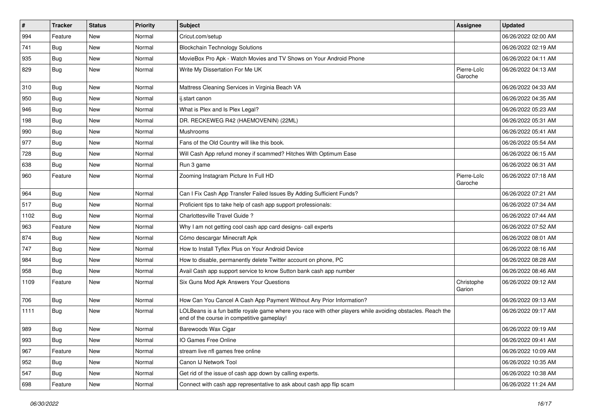| #    | <b>Tracker</b> | <b>Status</b> | <b>Priority</b> | Subject                                                                                                                                                  | <b>Assignee</b>        | <b>Updated</b>      |
|------|----------------|---------------|-----------------|----------------------------------------------------------------------------------------------------------------------------------------------------------|------------------------|---------------------|
| 994  | Feature        | New           | Normal          | Cricut.com/setup                                                                                                                                         |                        | 06/26/2022 02:00 AM |
| 741  | Bug            | <b>New</b>    | Normal          | <b>Blockchain Technology Solutions</b>                                                                                                                   |                        | 06/26/2022 02:19 AM |
| 935  | Bug            | New           | Normal          | MovieBox Pro Apk - Watch Movies and TV Shows on Your Android Phone                                                                                       |                        | 06/26/2022 04:11 AM |
| 829  | Bug            | New           | Normal          | Write My Dissertation For Me UK                                                                                                                          | Pierre-Loïc<br>Garoche | 06/26/2022 04:13 AM |
| 310  | Bug            | New           | Normal          | Mattress Cleaning Services in Virginia Beach VA                                                                                                          |                        | 06/26/2022 04:33 AM |
| 950  | Bug            | New           | Normal          | ij.start canon                                                                                                                                           |                        | 06/26/2022 04:35 AM |
| 946  | Bug            | New           | Normal          | What is Plex and Is Plex Legal?                                                                                                                          |                        | 06/26/2022 05:23 AM |
| 198  | Bug            | New           | Normal          | DR. RECKEWEG R42 (HAEMOVENIN) (22ML)                                                                                                                     |                        | 06/26/2022 05:31 AM |
| 990  | Bug            | <b>New</b>    | Normal          | Mushrooms                                                                                                                                                |                        | 06/26/2022 05:41 AM |
| 977  | Bug            | New           | Normal          | Fans of the Old Country will like this book.                                                                                                             |                        | 06/26/2022 05:54 AM |
| 728  | Bug            | New           | Normal          | Will Cash App refund money if scammed? Hitches With Optimum Ease                                                                                         |                        | 06/26/2022 06:15 AM |
| 638  | Bug            | New           | Normal          | Run 3 game                                                                                                                                               |                        | 06/26/2022 06:31 AM |
| 960  | Feature        | New           | Normal          | Zooming Instagram Picture In Full HD                                                                                                                     | Pierre-Loïc<br>Garoche | 06/26/2022 07:18 AM |
| 964  | Bug            | New           | Normal          | Can I Fix Cash App Transfer Failed Issues By Adding Sufficient Funds?                                                                                    |                        | 06/26/2022 07:21 AM |
| 517  | Bug            | New           | Normal          | Proficient tips to take help of cash app support professionals:                                                                                          |                        | 06/26/2022 07:34 AM |
| 1102 | Bug            | <b>New</b>    | Normal          | Charlottesville Travel Guide?                                                                                                                            |                        | 06/26/2022 07:44 AM |
| 963  | Feature        | New           | Normal          | Why I am not getting cool cash app card designs- call experts                                                                                            |                        | 06/26/2022 07:52 AM |
| 874  | Bug            | <b>New</b>    | Normal          | Cómo descargar Minecraft Apk                                                                                                                             |                        | 06/26/2022 08:01 AM |
| 747  | Bug            | New           | Normal          | How to Install Tyflex Plus on Your Android Device                                                                                                        |                        | 06/26/2022 08:16 AM |
| 984  | Bug            | New           | Normal          | How to disable, permanently delete Twitter account on phone, PC                                                                                          |                        | 06/26/2022 08:28 AM |
| 958  | Bug            | <b>New</b>    | Normal          | Avail Cash app support service to know Sutton bank cash app number                                                                                       |                        | 06/26/2022 08:46 AM |
| 1109 | Feature        | New           | Normal          | Six Guns Mod Apk Answers Your Questions                                                                                                                  | Christophe<br>Garion   | 06/26/2022 09:12 AM |
| 706  | Bug            | <b>New</b>    | Normal          | How Can You Cancel A Cash App Payment Without Any Prior Information?                                                                                     |                        | 06/26/2022 09:13 AM |
| 1111 | Bug            | New           | Normal          | LOLBeans is a fun battle royale game where you race with other players while avoiding obstacles. Reach the<br>end of the course in competitive gameplay! |                        | 06/26/2022 09:17 AM |
| 989  | Bug            | New           | Normal          | Barewoods Wax Cigar                                                                                                                                      |                        | 06/26/2022 09:19 AM |
| 993  | <b>Bug</b>     | New           | Normal          | IO Games Free Online                                                                                                                                     |                        | 06/26/2022 09:41 AM |
| 967  | Feature        | New           | Normal          | stream live nfl games free online                                                                                                                        |                        | 06/26/2022 10:09 AM |
| 952  | Bug            | New           | Normal          | Canon IJ Network Tool                                                                                                                                    |                        | 06/26/2022 10:35 AM |
| 547  | <b>Bug</b>     | New           | Normal          | Get rid of the issue of cash app down by calling experts.                                                                                                |                        | 06/26/2022 10:38 AM |
| 698  | Feature        | New           | Normal          | Connect with cash app representative to ask about cash app flip scam                                                                                     |                        | 06/26/2022 11:24 AM |